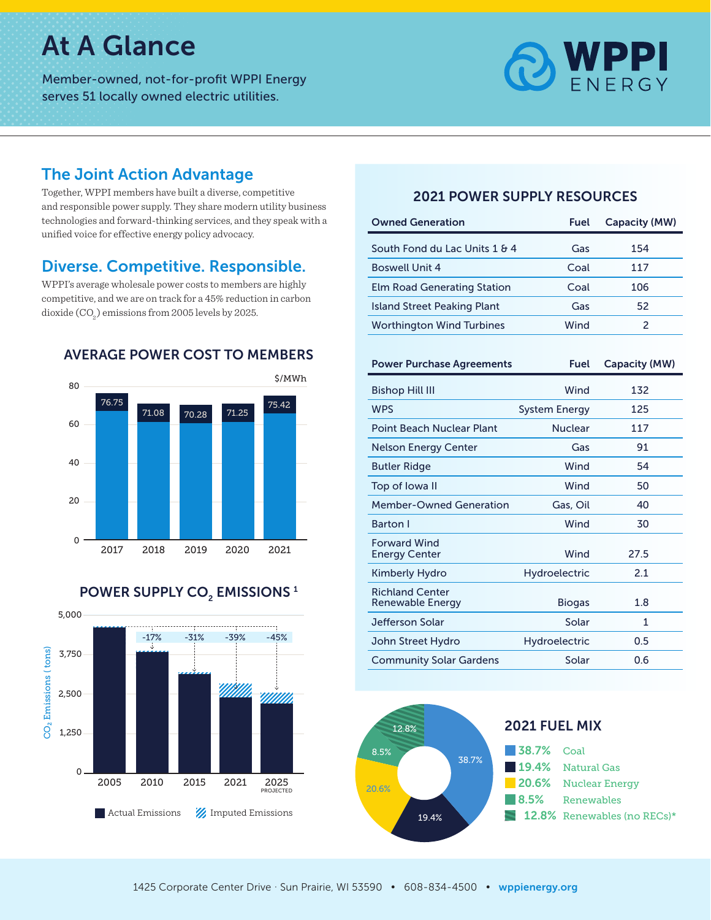# At A Glance

Member-owned, not-for-profit WPPI Energy serves 51 locally owned electric utilities.



#### The Joint Action Advantage

Together, WPPI members have built a diverse, competitive and responsible power supply. They share modern utility business technologies and forward-thinking services, and they speak with a unified voice for effective energy policy advocacy.

### Diverse. Competitive. Responsible.

WPPI's average wholesale power costs to members are highly competitive, and we are on track for a 45% reduction in carbon dioxide (CO<sub>2</sub>) emissions from 2005 levels by 2025.





#### 2021 POWER SUPPLY RESOURCES

| <b>Owned Generation</b>            | Fuel | Capacity (MW) |
|------------------------------------|------|---------------|
| South Fond du Lac Units 1 & 4      | Gas  | 154           |
| <b>Boswell Unit 4</b>              | Coal | 117           |
| <b>Elm Road Generating Station</b> | Coal | 106           |
| <b>Island Street Peaking Plant</b> | Gas  | 52            |
| <b>Worthington Wind Turbines</b>   | Wind |               |

| <b>Power Purchase Agreements</b>            | <b>Fuel</b>          | <b>Capacity (MW)</b> |
|---------------------------------------------|----------------------|----------------------|
| <b>Bishop Hill III</b>                      | Wind                 | 132                  |
| <b>WPS</b>                                  | <b>System Energy</b> | 125                  |
| Point Beach Nuclear Plant                   | <b>Nuclear</b>       | 117                  |
| Nelson Energy Center                        | Gas                  | 91                   |
| <b>Butler Ridge</b>                         | Wind                 | 54                   |
| Top of Iowa II                              | Wind                 | 50                   |
| <b>Member-Owned Generation</b>              | Gas, Oil             | 40                   |
| Barton I                                    | Wind                 | 30                   |
| <b>Forward Wind</b><br><b>Energy Center</b> | Wind                 | 27.5                 |
| <b>Kimberly Hydro</b>                       | <b>Hydroelectric</b> | 2.1                  |
| <b>Richland Center</b><br>Renewable Energy  | <b>Biogas</b>        | 1.8                  |
| Jefferson Solar                             | Solar                | 1                    |
| John Street Hydro                           | <b>Hydroelectric</b> | 0.5                  |
| <b>Community Solar Gardens</b>              | Solar                | 0.6                  |